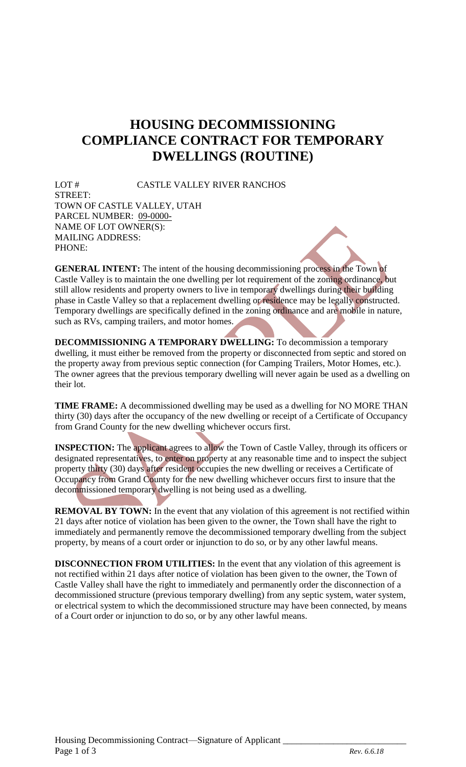## **HOUSING DECOMMISSIONING COMPLIANCE CONTRACT FOR TEMPORARY DWELLINGS (ROUTINE)**

LOT # CASTLE VALLEY RIVER RANCHOS STREET: TOWN OF CASTLE VALLEY, UTAH PARCEL NUMBER: 09-0000- NAME OF LOT OWNER(S): MAILING ADDRESS: PHONE:

**GENERAL INTENT:** The intent of the housing decommissioning process in the Town of Castle Valley is to maintain the one dwelling per lot requirement of the zoning ordinance, but still allow residents and property owners to live in temporary dwellings during their building phase in Castle Valley so that a replacement dwelling or residence may be legally constructed. Temporary dwellings are specifically defined in the zoning ordinance and are mobile in nature, such as RVs, camping trailers, and motor homes.

**DECOMMISSIONING A TEMPORARY DWELLING:** To decommission a temporary dwelling, it must either be removed from the property or disconnected from septic and stored on the property away from previous septic connection (for Camping Trailers, Motor Homes, etc.). The owner agrees that the previous temporary dwelling will never again be used as a dwelling on their lot.

**TIME FRAME:** A decommissioned dwelling may be used as a dwelling for NO MORE THAN thirty (30) days after the occupancy of the new dwelling or receipt of a Certificate of Occupancy from Grand County for the new dwelling whichever occurs first.

**INSPECTION:** The applicant agrees to allow the Town of Castle Valley, through its officers or designated representatives, to enter on property at any reasonable time and to inspect the subject property thirty (30) days after resident occupies the new dwelling or receives a Certificate of Occupancy from Grand County for the new dwelling whichever occurs first to insure that the decommissioned temporary dwelling is not being used as a dwelling.

**REMOVAL BY TOWN:** In the event that any violation of this agreement is not rectified within 21 days after notice of violation has been given to the owner, the Town shall have the right to immediately and permanently remove the decommissioned temporary dwelling from the subject property, by means of a court order or injunction to do so, or by any other lawful means.

**DISCONNECTION FROM UTILITIES:** In the event that any violation of this agreement is not rectified within 21 days after notice of violation has been given to the owner, the Town of Castle Valley shall have the right to immediately and permanently order the disconnection of a decommissioned structure (previous temporary dwelling) from any septic system, water system, or electrical system to which the decommissioned structure may have been connected, by means of a Court order or injunction to do so, or by any other lawful means.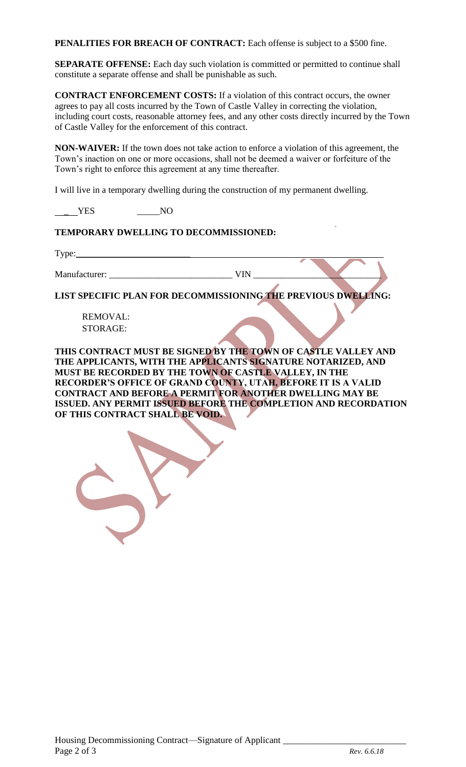PENALITIES FOR BREACH OF CONTRACT: Each offense is subject to a \$500 fine.

**SEPARATE OFFENSE:** Each day such violation is committed or permitted to continue shall constitute a separate offense and shall be punishable as such.

**CONTRACT ENFORCEMENT COSTS:** If a violation of this contract occurs, the owner agrees to pay all costs incurred by the Town of Castle Valley in correcting the violation, including court costs, reasonable attorney fees, and any other costs directly incurred by the Town of Castle Valley for the enforcement of this contract.

**NON-WAIVER:** If the town does not take action to enforce a violation of this agreement, the Town's inaction on one or more occasions, shall not be deemed a waiver or forfeiture of the Town's right to enforce this agreement at any time thereafter.

I will live in a temporary dwelling during the construction of my permanent dwelling.

*\_* YES \_\_\_\_\_NO

## **TEMPORARY DWELLING TO DECOMMISSIONED:**

 $Type:$ 

Manufacturer: \_\_\_\_\_\_\_\_\_\_\_\_\_\_\_\_\_\_\_\_\_\_\_\_\_\_\_ VIN \_\_\_\_\_\_\_\_\_\_\_\_\_\_\_\_\_\_\_\_\_\_\_\_\_\_\_\_

**LIST SPECIFIC PLAN FOR DECOMMISSIONING THE PREVIOUS DWELLING:** 

REMOVAL: STORAGE:

**THIS CONTRACT MUST BE SIGNED BY THE TOWN OF CASTLE VALLEY AND THE APPLICANTS, WITH THE APPLICANTS SIGNATURE NOTARIZED, AND MUST BE RECORDED BY THE TOWN OF CASTLE VALLEY, IN THE RECORDER'S OFFICE OF GRAND COUNTY, UTAH, BEFORE IT IS A VALID CONTRACT AND BEFORE A PERMIT FOR ANOTHER DWELLING MAY BE ISSUED. ANY PERMIT ISSUED BEFORE THE COMPLETION AND RECORDATION OF THIS CONTRACT SHALL BE VOID.**